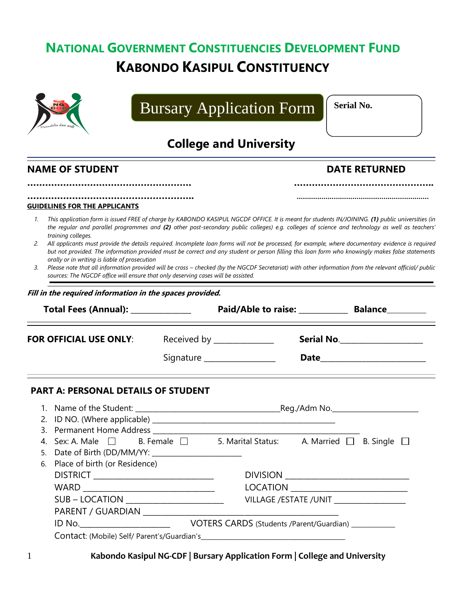## **NATIONAL GOVERNMENT CONSTITUENCIES DEVELOPMENT FUND KABONDO KASIPUL CONSTITUENCY**



# Bursary Application Form

**Serial No.**

## **College and University**

### **NAME OF STUDENT DATE RETURNED**

| <b>GUIDELINES FOR THE APPLICANTS</b> |  |
|--------------------------------------|--|

*1. This application form is issued FREE of charge by KABONDO KASIPUL NGCDF OFFICE. It is meant for students IN/JOINING. (1) public universities (in the regular and parallel programmes and (2) other post-secondary public colleges) e.g. colleges of science and technology as well as teachers' training colleges.*

**………………………………………………. ………………………………………..**

- *2. All applicants must provide the details required. Incomplete loan forms will not be processed, for example, where documentary evidence is required but not provided. The information provided must be correct and any student or person filling this loan form who knowingly makes false statements orally or in writing is liable of prosecution*
- *3. Please note that all information provided will be cross – checked (by the NGCDF Secretariat) with other information from the relevant official/ public sources: The NGCDF office will ensure that only deserving cases will be assisted.*

|  | Fill in the required information in the spaces provided. |  |
|--|----------------------------------------------------------|--|
|--|----------------------------------------------------------|--|

| Total Fees (Annual): ______________                                                           |  |                             | Paid/Able to raise: Balance                   |  |
|-----------------------------------------------------------------------------------------------|--|-----------------------------|-----------------------------------------------|--|
| <b>FOR OFFICIAL USE ONLY:</b>                                                                 |  | Received by _______________ |                                               |  |
|                                                                                               |  | Signature _________________ |                                               |  |
| <b>PART A: PERSONAL DETAILS OF STUDENT</b>                                                    |  |                             |                                               |  |
|                                                                                               |  |                             |                                               |  |
|                                                                                               |  |                             |                                               |  |
|                                                                                               |  |                             |                                               |  |
| 4. Sex: A. Male $\Box$ B. Female $\Box$ 5. Marital Status: A. Married $\Box$ B. Single $\Box$ |  |                             |                                               |  |
|                                                                                               |  |                             |                                               |  |
| 6. Place of birth (or Residence)                                                              |  |                             |                                               |  |
| DISTRICT ___________________________                                                          |  |                             |                                               |  |
|                                                                                               |  |                             |                                               |  |
| SUB - LOCATION ______________________                                                         |  |                             | VILLAGE / ESTATE / UNIT _____________________ |  |
|                                                                                               |  |                             |                                               |  |
|                                                                                               |  |                             |                                               |  |
|                                                                                               |  |                             |                                               |  |
|                                                                                               |  |                             |                                               |  |

1 **Kabondo Kasipul NG-CDF | Bursary Application Form | College and University**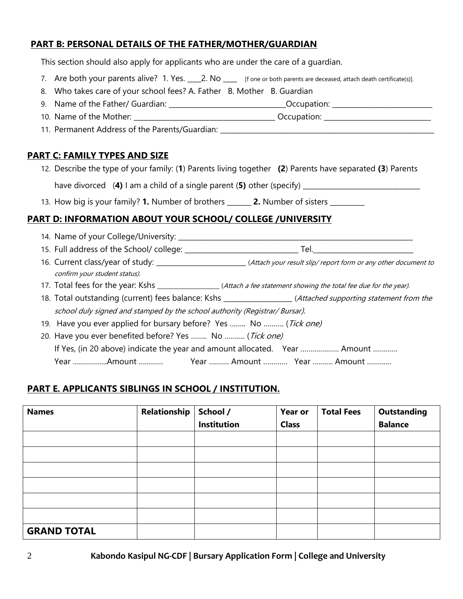#### **PART B: PERSONAL DETAILS OF THE FATHER/MOTHER/GUARDIAN**

This section should also apply for applicants who are under the care of a guardian.

- 7. Are both your parents alive? 1. Yes. 2. No same or both parents are deceased, attach death certificate(s)].
- 8. Who takes care of your school fees? A. Father B. Mother B. Guardian
- 9. Name of the Father/ Guardian: \_\_\_\_\_\_\_\_\_\_\_\_\_\_\_\_\_\_\_\_\_\_\_\_\_\_\_\_\_\_\_\_\_\_Occupation: \_\_\_\_\_\_\_\_\_\_\_\_\_\_\_\_\_\_\_\_\_\_\_\_\_\_\_\_\_
- 10. Name of the Mother: \_\_\_\_\_\_\_\_\_\_\_\_\_\_\_\_\_\_\_\_\_\_\_\_\_\_\_\_\_\_\_\_\_\_\_\_\_\_\_\_\_ Occupation: \_\_\_\_\_\_\_\_\_\_\_\_\_\_\_\_\_\_\_\_\_\_\_\_\_\_\_\_\_\_\_
- 11. Permanent Address of the Parents/Guardian: \_\_\_\_\_\_\_\_\_\_\_\_\_\_\_\_\_\_\_\_\_\_\_\_\_\_\_\_\_\_\_\_\_

#### **PART C: FAMILY TYPES AND SIZE**

- 12. Describe the type of your family: (**1**) Parents living together **(2**) Parents have separated **(3**) Parents have divorced (**4)** I am a child of a single parent (**5)** other (specify) \_\_\_\_\_\_\_\_\_\_\_\_\_\_\_\_\_\_\_\_\_\_\_\_\_\_\_\_\_\_\_\_\_\_
- 13. How big is your family? **1.** Number of brothers \_\_\_\_\_\_\_ **2.** Number of sisters \_\_\_\_\_\_\_\_\_\_

#### **PART D: INFORMATION ABOUT YOUR SCHOOL/ COLLEGE /UNIVERSITY**

- 14. Name of your College/University: \_\_\_\_\_\_\_\_\_\_\_\_\_\_\_\_\_\_\_\_\_\_\_\_\_\_\_\_\_\_\_\_\_\_\_\_\_\_\_\_\_\_\_\_\_\_\_\_\_\_\_\_\_\_\_\_\_\_\_\_\_\_\_\_\_\_\_\_ 15. Full address of the School/ college: \_\_\_\_\_\_\_\_\_\_\_\_\_\_\_\_\_\_\_\_\_\_\_\_\_\_\_\_\_\_\_\_\_ Tel.\_\_\_\_\_\_\_\_\_\_\_\_\_\_\_\_\_\_\_\_\_\_\_\_\_\_\_\_\_ 16. Current class/year of study: \_\_\_\_\_\_\_\_\_\_\_\_\_\_\_\_\_\_\_\_\_\_\_\_\_\_(Attach your result slip/ report form or any other document to confirm your student status). 17. Total fees for the year: Kshs \_\_\_\_\_\_\_\_\_\_\_\_\_\_\_\_\_(Attach a fee statement showing the total fee due for the year). 18. Total outstanding (current) fees balance: Kshs \_\_\_\_\_\_\_\_\_\_\_\_\_\_\_\_\_\_\_\_(Attached supporting statement from the school duly signed and stamped by the school authority (Registrar/ Bursar). 19. Have you ever applied for bursary before? Yes ........ No ......... (Tick one) 20. Have you ever benefited before? Yes ........ No .......... (Tick one) If Yes, (in 20 above) indicate the year and amount allocated. Year ................... Amount ............
	- Year ……………..Amount ………… Year ………. Amount ………… Year ………. Amount …………

#### **PART E. APPLICANTS SIBLINGS IN SCHOOL / INSTITUTION.**

| <b>Names</b>       | Relationship | School /    | Year or      | <b>Total Fees</b> | <b>Outstanding</b> |
|--------------------|--------------|-------------|--------------|-------------------|--------------------|
|                    |              | Institution | <b>Class</b> |                   | <b>Balance</b>     |
|                    |              |             |              |                   |                    |
|                    |              |             |              |                   |                    |
|                    |              |             |              |                   |                    |
|                    |              |             |              |                   |                    |
|                    |              |             |              |                   |                    |
|                    |              |             |              |                   |                    |
| <b>GRAND TOTAL</b> |              |             |              |                   |                    |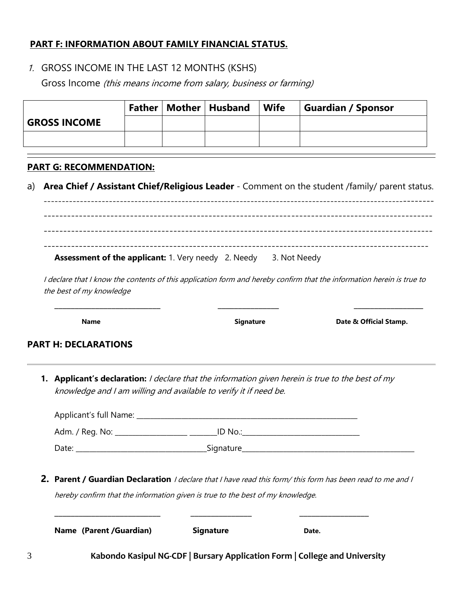#### **PART F: INFORMATION ABOUT FAMILY FINANCIAL STATUS.**

1. GROSS INCOME IN THE LAST 12 MONTHS (KSHS)

Gross Income (this means income from salary, business or farming)

|                     |  | Father   Mother   Husband | Wife | <b>Guardian / Sponsor</b> |
|---------------------|--|---------------------------|------|---------------------------|
| <b>GROSS INCOME</b> |  |                           |      |                           |
|                     |  |                           |      |                           |

#### **PART G: RECOMMENDATION:**

a) **Area Chief / Assistant Chief/Religious Leader** - Comment on the student /family/ parent status.

----------------------------------------------------------------------------------------------------------- --------------------------------------------------------------------------------------------------- --------------------------------------------------------------------------------------------------- -------------------------------------------------------------------------------------------------- **Assessment of the applicant:** 1. Very needy 2. Needy 3. Not Needy

I declare that I know the contents of this application form and hereby confirm that the information herein is true to the best of my knowledge

**\_\_\_\_\_\_\_\_\_\_\_\_\_\_\_\_\_\_\_\_\_\_\_\_\_\_ \_\_\_\_\_\_\_\_\_\_\_\_\_\_\_ \_\_\_\_\_\_\_\_\_\_\_\_\_\_\_\_\_**

**Name Signature Signature Date & Official Stamp.** 

#### **PART H: DECLARATIONS**

**1. Applicant's declaration:** I declare that the information given herein is true to the best of my knowledge and I am willing and available to verify it if need be.

| Applicant's full Name: |             |  |
|------------------------|-------------|--|
| Adm. / Reg. No: _      | ID No.:     |  |
| Date:                  | _Signature_ |  |

**2. Parent / Guardian Declaration** I declare that I have read this form/ this form has been read to me and I hereby confirm that the information given is true to the best of my knowledge.

| Name (Parent /Guardian) | <b>Signature</b> | Date.                                                                      |  |
|-------------------------|------------------|----------------------------------------------------------------------------|--|
|                         |                  | Kabondo Kasipul NG-CDF   Bursary Application Form   College and University |  |

**\_\_\_\_\_\_\_\_\_\_\_\_\_\_\_\_\_\_\_\_\_\_\_\_\_\_ \_\_\_\_\_\_\_\_\_\_\_\_\_\_\_ \_\_\_\_\_\_\_\_\_\_\_\_\_\_\_\_\_**